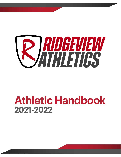

## **Athletic Handbook 2021-2022**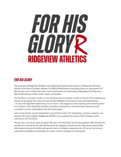# FUR HIS GLURYR **RIDGEVIEW ATHLETICS**

## *For His Glory*

The purpose of Ridgeview Athletics is to extend and enhance the mission of Ridgeview Christian School in the lives of student athletes. If a Biblical Worldview is not being lived out, what good is it? We see the court or field, the locker rooms and busses as a tremendous laboratory for living out a Biblical Worldview in their minds, hearts, and bodies.

For His Glory is not just a motto, it is our purpose and our mission. It tells us how all of this started and where we are going. Our vision for each student athlete is to become a more devoted followe r of Jesus through their experiences on our teams. This happens in the coaching and mentoring from our coaches, in the discipline instilled in practices and games, in the teamwork necessary to be successful, and the camaraderie with their teammates.

Let's not be fooled, we are not perfect in any of these areas. Our leadership, coaches, students, and parents will make mistakes. Ridgeview Athletics in an opportunity to learn from mistakes and to continue on For His Glory.

We are not a "win at all costs" program. We are a "For His Glory" at all costs program. We will strive for excellence in all that we do. We will also strive for integrity in all that we do. We cannot control what other teams bring to the table each game in terms of players, resources, etc. All we can do is be as prepared as possible as individuals, as a team, and as a program for each game.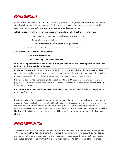## *PLAYER ELIGIBILITY*

Organized athletics are scheduled for students in grades 5-12. Ridgeview places academics ahead of athletics in importance for our students. Eligibility to participate in inter-scholastic athletic activities requires a student to meet the eligibility requirements as described below.

#### **Athletic eligibility will be determined based on an Academic Check at the following times:**

- The Friday before the week of the first game of the season
- 2 weeks before playoffs begin
- When a report card is administered during a season

\*Fall sports eligibility will be based on the 4th quarter report card of the previous year.

**An Academic Check requires an athlete to:**

#### **- Have a current GPA of 2.0**

#### **- AND no Failing Grade in any Subject**

#### **Students failing to meet these requirements during an Academic Check will be placed on Academic Probation for the remainder of the season:**

**Academic Probation:** A student on Academic Probation will be ineligible for the next week to play in any games or travel to away games, but should continue to practice with the team (unless the coach or principal excuses him/her) and attend home games. Grades checks will occur weekly.

**If a student athlete has one failing grade but still maintains a 2.0** at an Academic Check, he/she may play but will not be allowed to start. The student has two weeks to pull up the grade, or they will be put on Academic Probation

**If a student athlete has more than one failing grade** at an Academic Check, he/she will be placed on Academic Probation.

If a student falls below the established grade requirements during an Academic Check, he/she will be placed on Academic Probation and will not be allowed to participate in sports the following week. He/ she will remain on probation through the rest of that sports season, and his/her grades will be evaluated weekly to determine eligibility for the next week. After a season is over, the probation will be lifted, and eligibility for the new sports season will be established based on the same criteria as stated above.

## *PLAYER PARTICIPATION*

The responsibility for choosing each team is left up to the coach and his/her staff in conjunction with the Athletic Director. Players must recognize the commitment level that will be needed to participate in the school athletic program. Trips, work schedules, and outside activities must be scheduled carefully. A commitment to a team requires time. **An athlete on a school team is**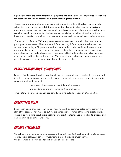#### **agreeing to make the commitment to be prepared and participate in each practice throughout the season and to keep absences from practices and games minimal.**

The philosophy around playing time changes between the different levels of teams. Middle school teams will have a more distributed amount of playing time because the focus is on developing the players. The varsity teams will have less distribution of playing time as the focus is on the overall development of the team. Junior varsity teams will be a transition between these two mindsets. Playing time is not guaranteed, especially as we get closer to tournaments.

 Our athletic conference, VACA, stipulates a certain amount of homeschool students who may participate on each team. This number is different among different sports. Any homeschool student participating in Ridgeview Athletics, is expected to understand that they are an equal representative of our Lord and our school as any of the others teammates. At the same time, once a homeschool student is on a team, they are a full fledged member with all of the same expectations and benefits for that season. Whether a player is a homeschooler or not should never be considered in the amount of playing time they receive.

## *PARENT PARTICIPATION: Concessions*

Parents of athletes participating in volleyball, soccer, basketball, and cheerleading are required to help in the operation of the concession stand. If your child is involved in any of these sports, you must work a minimum of:

- two times in the concession stand during the season
- and one time during any tournament we are hosting.

Time slots will be available so you can schedule a time outside of your child's game time.

## *COACH/TEAM RULES*

Each coach establishes their team rules. These rules will be communicated to the team at the start of the season. They may also outline the consequences for an athlete who breaks a rule. These rules would include, but are not limited to practice attendance, being late to practice and games, attitude, or care of uniforms.

## *CHURCH ATTENDANCE*

We at RCS feel a student's spiritual success is the most important goal we are trying to achieve. To play sports at RCS, all athletes must attend a Bible-believing church service. We encourage all players to attend church as often as possible.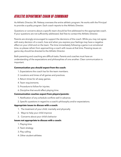## *ATHLETIC DEPARTMENT CHAIN OF COMMAND*

As Athletic Director, Mr. Pettway oversees the entire athletic program. He works with the Principal to provide a quality program. Each coach reports to the Athletic Director.

Questions or concerns about a specific team should be first addressed to the appropriate coach. If your questions are not sufficiently addressed, feel free to contact the Athletic Director.

Parents are strongly encouraged to support the decisions of the coach. While you may not agree with every decision of a coach, how and when you express your feelings may have a negative effect on your child and on the team. The time immediately following a game is an emotional time, so please refrain from approaching a coach with issues at that time. Pressing issues on game day should be directed to the Athletic Director.

Both parenting and coaching are difficult tasks. Parents and coaches must have an understanding of the expectations and philosophies of one another. Clear communication is important.

#### **Communication you should expect from the coach:**

- 1. Expectations the coach has for the team members.
- 2. Locations and times of all games and practices.
- 3. Return times for all away games.
- 4. Team requirements.
- 5. Procedure to follow for injuries.
- 6. Discipline that would effect playing time.

#### **Communication coaches expect from players/parents:**

- 1. Notification of any schedule conflicts well in advance.
- 2. Specific questions in regard to a coach's philosophy and/or expectations.

#### **Appropriate issues to discuss with a coach:**

- 1. The treatment of your child: mentally and physically
- 2. Ways to help your child improve
- 3. Concerns about your child's behavior

#### **Issues not appropriate to discuss with a coach:**

- 1. Playing time
- 2. Team strategy
- 3. Play calling
- 4. Other student-athletes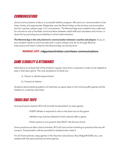## *Communications*

Good communication is key to a successful athletic program. We want our communication to be clear, timely, and appropriate. Ridgeview uses the Remind App as the primary communication tool for coaches, players (age 13+), and parents. The Remind App was created to be a safe tool for schools to use to facilitate communication between adult staff and volunteers and minors. It does this by providing accountability to school administration.

**The Remind App is the only electronic communication between coaches and players.** If you or your student needs to communicate with a coach, please only do so through Remind. Instructions and Team Codes for the Remind App can be found at:

#### **REMIND APP: ridgeviewchristian.com/team-communications**

## *GAME ELIGIBILITY & ATTENDANCE*

Attendance to at least half of the student's regular class time is required in order to be eligible to play in that day's game. The only exceptions to these are:

- a) Doctor or dentist appointment
- b) Funeral of relative

Students demonstrating patterns of tardiness on game days or the morning after games will be treated on a case-by-case basis.

## *TRAVEL/BUS TRIPS*

During all sports seasons RCS will provide transportation to away games.

- EVERY athlete is required to ride on the team bus to the game.
- Athletes may only be released to their parents after a game.
- If their parent is not present, they MUST ride the bus home.

Since practices are after school activities, RCS will not monitor traveling to practices that are off campus. Transportation will be provided to students who need it.

For all Travel policies, away games in the Staunton area (Grace, Blue Ridge @ VSDB, etc.), are treated with the same policies as home games.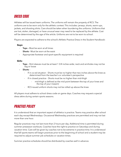## *DRESS CODE*

Athletes will be issued team uniforms. The uniforms will remain the property of RCS. The uniforms are to be worn only for the athletic contest. This includes: jerseys, shorts, warm-ups, jackets, and shooting shirts. Care should be taken when laundering the uniforms. Uniforms that are lost, stolen, damaged, or have unusual wear may need to be replaced by the athlete. Cost will be determined by the age of the article. Uniforms are not to be worn to school.

Players are expected to adhere to the school's Athletic Practice Dress in the Student Handbook:

#### **Guys:**

- **Tops** Must be worn at all times
- **Shorts Must be worn at the waist**
- Appropriate footwear and sport-specific equipment is required

#### **Girls:**

- **Tops** Shirt sleeves must be at least 1 3/4 inches wide; neck and armholes may not be big or loose
- **- Shorts**
	- If in co-ed situation Shorts must be no higher than two inches above the knee as determined from the teacher's or volunteer's perspective
	- If in closed practice Shorts must be no higher than mid-thigh
		- mid-thigh is defined as the mid point between the top of your knee and the top of your inseam)
	- RCS issued uniform shorts may not be rolled up above the knee

All players must adhere to school dress code on game days. Coaches may request a special dress attire during certain sports seasons.

## *PRACTICE POLICY*

It is understood that an important aspect of athletics is practice. Teams may practice after school each day except Wednesdays. Occasional Wednesday practices are permitted and may not last more than one hour.

Regular practices may not last more than 2 hours per day. Additional time is permitted during summer preseason workouts. Coaches have the right to practice on Saturdays and during vacation time. Care will be given by coaches not to be extreme in practice time. It is understood that fall sports teams will begin practices prior to the beginning of school and a student may be required to adjust summer job schedules or vacation times.

Summer practice schedules should be distributed by coaches well in advance.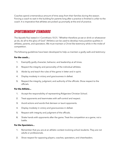Coaches spend a tremendous amount of time away from their families during the season. Forcing a coach to wait in the building for parents long after a practice is finished is unfair to the coach. It is imperative that athletes are picked up promptly at the end of practice.

## *SPORTSMANSHIP STANDARDS*

The Apostle Paul stated in I Corinthians 10:31, "Whether therefore ye eat or drink or whatsoever ye do, do all to the glory of God." Athletics can be used to develop many positive qualities in athletes, parents, and spectators. We must maintain a Christ-like testimony while in the midst of competition.

The following guidelines have been developed to help us maintain a godly walk and testimony:

#### **For the coach...**

- 1. Exemplify godly character, behavior, and leadership at all times.
- 2. Respect the integrity and personality of the individual athletes.
- 3. Abide by and teach the rules of the game in letter and in spirit.
- 4. Display modesty in victory and graciousness in defeat.
- 5. Respect the integrity, judgment, and authority of the officials. Show respect to the officials.

#### **For the Athlete...**

- 1. Accept the responsibility of representing Ridgeview Christian School.
- 2. Treat opponents and teammates with self-control and respect.
- 3. Avoid actions and words that demean or taunt opponents.
- 4. Display modesty in victory and graciousness in defeat.
- 5. Respect with integrity and judgment of the officials.
- 6. Shake hands with opponents after the game. Treat the competition as a game, not a battle.

#### **For the Spectators...**

- 1. Remember that you are at an athletic contest involving school students. They are not adults or professionals.
- 2. Show respect for opposing players, coaches, spectators, and cheerleaders.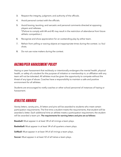- 3. Respect the integrity, judgment, and authority of the officials.
- 4. Avoid personal contact with the officials.
- 5. Avoid booing, taunting, and sarcastic and personal comments directed at opposing players and referees. \*(Failure to comply with #4 and #5 may result in the restriction of attendance from future athletic competition.)
- 6. Recognize and show appreciation for an outstanding play by either team.
- 7. Refrain from yelling or waving objects at inappropriate times during the contest. i.e. foul shots.
- 8. Do not use noise makers during the contest.

## *HAZING/PEER HARASSMENT POLICY*

Hazing or peer harassment that recklessly or intentionally endangers the mental health, physical health, or safety of a student for the purpose of initiation or membership in, or affiliation with any team will not be tolerated. All athletes must be given the opportunity to compete without the threat of any type of abuse. Coaches have a responsibility to maintain a safe and positive environment for all athletes.

Students are encouraged to notify coaches or other school personnel of instances of hazing or harassment.

## *ATHLETIC AWARDS*

Varsity letters, varsity pins, JV letters and pins will be awarded to students who meet certain participation requirements. The first time a student meets the requirements, that student will be awarded a letter. Each additional time an athlete meets a participation requirement, the student will be awarded a team pin. **The requirements for earning letters and pins are as follows:**

**Baseball:** Must appear in at least 1⁄4 of all innings a team plays.

**Basketball:** Must appear in at least 1⁄4 of all quarters a team plays.

**Softball:** Must appear in at least 1⁄4 of all innings a team plays.

**Soccer:** Must appear in at least 1⁄2 of all halves a team plays.